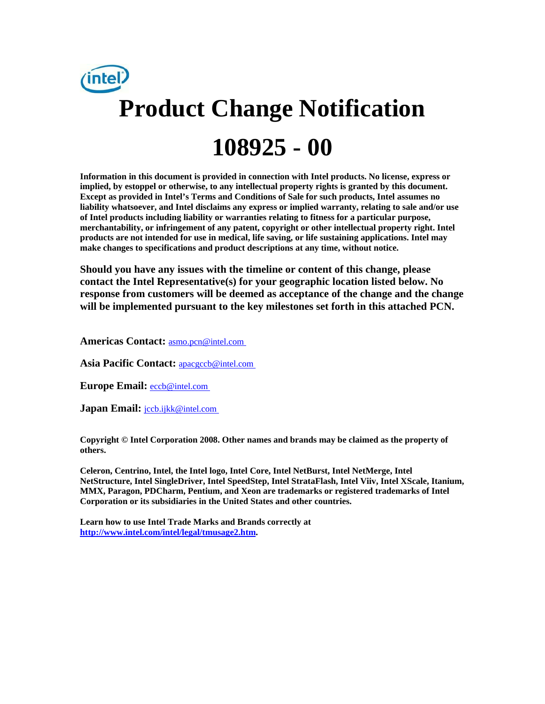

**Information in this document is provided in connection with Intel products. No license, express or implied, by estoppel or otherwise, to any intellectual property rights is granted by this document. Except as provided in Intel's Terms and Conditions of Sale for such products, Intel assumes no liability whatsoever, and Intel disclaims any express or implied warranty, relating to sale and/or use of Intel products including liability or warranties relating to fitness for a particular purpose, merchantability, or infringement of any patent, copyright or other intellectual property right. Intel products are not intended for use in medical, life saving, or life sustaining applications. Intel may make changes to specifications and product descriptions at any time, without notice.** 

**Should you have any issues with the timeline or content of this change, please contact the Intel Representative(s) for your geographic location listed below. No response from customers will be deemed as acceptance of the change and the change will be implemented pursuant to the key milestones set forth in this attached PCN.** 

**Americas Contact:** [asmo.pcn@intel.com](mailto:asmo.pcn@intel.com) 

**Asia Pacific Contact:** [apacgccb@intel.com](mailto:apacgccb@intel.com) 

Europe Email: **eccb@intel.com** 

**Japan Email:** *jccb.ijkk@intel.com* 

**Copyright © Intel Corporation 2008. Other names and brands may be claimed as the property of others.**

**Celeron, Centrino, Intel, the Intel logo, Intel Core, Intel NetBurst, Intel NetMerge, Intel NetStructure, Intel SingleDriver, Intel SpeedStep, Intel StrataFlash, Intel Viiv, Intel XScale, Itanium, MMX, Paragon, PDCharm, Pentium, and Xeon are trademarks or registered trademarks of Intel Corporation or its subsidiaries in the United States and other countries.** 

**Learn how to use Intel Trade Marks and Brands correctly at [http://www.intel.com/intel/legal/tmusage2.htm.](http://www.intel.com/intel/legal/tmusage2.htm)**